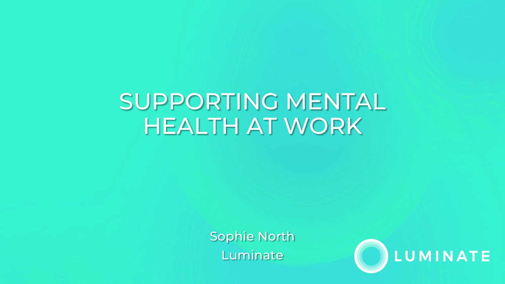## SUPPORTING MENTAL HEALTH AT WORK

Sophie North Luminate

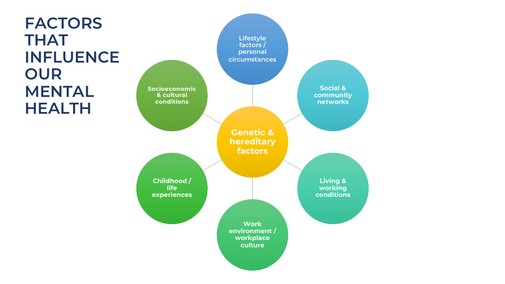**FACTORS THAT INFLUENCE OUR MENTAL HEALTH**

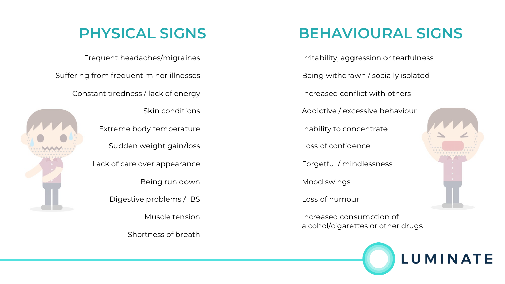#### **PHYSICAL SIGNS**

Frequent headaches/migraines

Suffering from frequent minor illnesses

Constant tiredness / lack of energy



Skin conditions Extreme body temperature Sudden weight gain/loss Lack of care over appearance Being run down Digestive problems / IBS Muscle tension

Shortness of breath

#### **BEHAVIOURAL SIGNS**

Irritability, aggression or tearfulness Being withdrawn / socially isolated Increased conflict with others Addictive / excessive behaviour Inability to concentrate

Loss of confidence

Forgetful / mindlessness

Mood swings

Loss of humour

Increased consumption of alcohol/cigarettes or other drugs



**LUMINATE**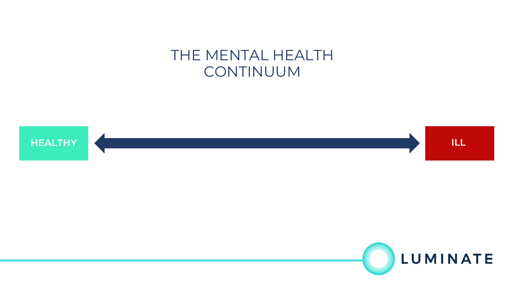#### THE MENTAL HEALTH CONTINUUM



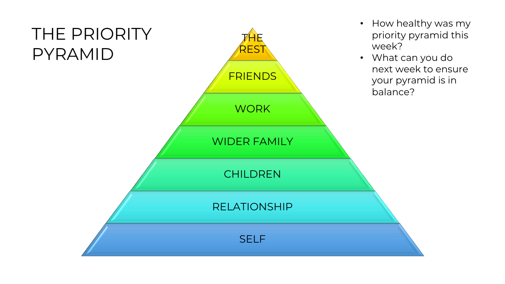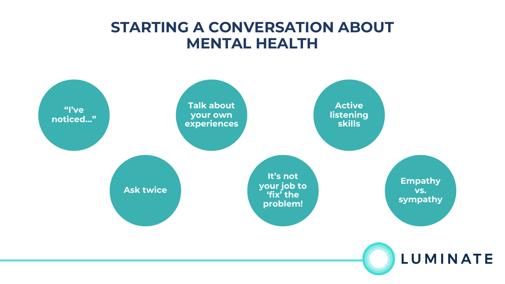#### **STARTING A CONVERSATION ABOUT MENTAL HEALTH**

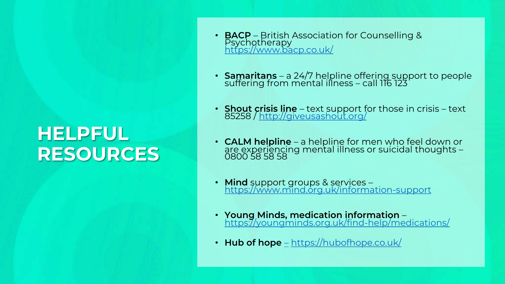### **HELPFUL RESOURCES**

- **BACP** British Association for Counselling & Psychotherapy<br><https://www.bacp.co.uk/>
- **Samaritans**  a 24/7 helpline offering support to people suffering from mental illness call 116 123
- **Shout crisis line**  text support for those in crisis text 85258 /<http://giveusashout.org/>
- **CALM helpline**  a helpline for men who feel down or are experiencing mental illness or suicidal thoughts 0800 58 58 58
- **Mind** support groups & services –<br><https://www.mind.org.uk/information-support>
- **Young Minds, medication information**  <https://youngminds.org.uk/find-help/medications/>
- **Hub of hope** [–](https://hubofhope.co.uk/) <https://hubofhope.co.uk/>